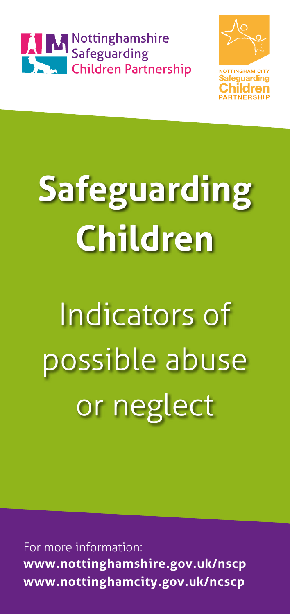



# **Safeguarding Children**

## Indicators of possible abuse or neglect

For more information: **www.nottinghamshire.gov.uk/nscp www.nottinghamcity.gov.uk/ncscp**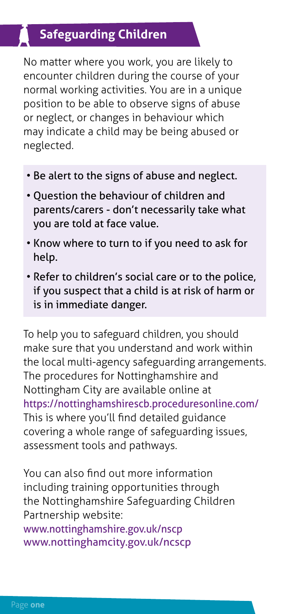## **Safeguarding Children**

No matter where you work, you are likely to encounter children during the course of your normal working activities. You are in a unique position to be able to observe signs of abuse or neglect, or changes in behaviour which may indicate a child may be being abused or neglected.

- Be alert to the signs of abuse and neglect.
- Question the behaviour of children and parents/carers - don't necessarily take what you are told at face value.
- Know where to turn to if you need to ask for help.
- Refer to children's social care or to the police, if you suspect that a child is at risk of harm or is in immediate danger.

To help you to safeguard children, you should make sure that you understand and work within the local multi-agency safeguarding arrangements. The procedures for Nottinghamshire and Nottingham City are available online at https://nottinghamshirescb.proceduresonline.com/ This is where you'll find detailed guidance covering a whole range of safeguarding issues, assessment tools and pathways.

You can also find out more information including training opportunities through the Nottinghamshire Safeguarding Children Partnership website: www.nottinghamshire.gov.uk/nscp

www.nottinghamcity.gov.uk/ncscp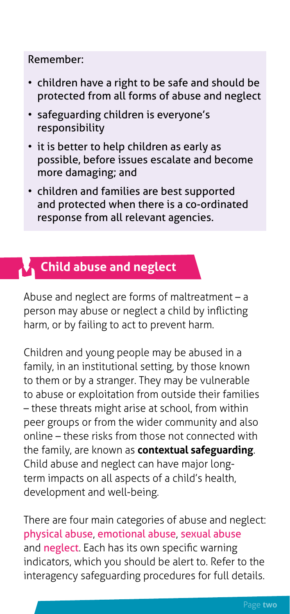#### Remember:

- children have a right to be safe and should be protected from all forms of abuse and neglect
- safeguarding children is everyone's responsibility
- it is better to help children as early as possible, before issues escalate and become more damaging; and
- children and families are best supported and protected when there is a co-ordinated response from all relevant agencies.

## **Child abuse and neglect**

Abuse and neglect are forms of maltreatment – a person may abuse or neglect a child by inflicting harm, or by failing to act to prevent harm.

Children and young people may be abused in a family, in an institutional setting, by those known to them or by a stranger. They may be vulnerable to abuse or exploitation from outside their families – these threats might arise at school, from within peer groups or from the wider community and also online – these risks from those not connected with the family, are known as **contextual safeguarding**. Child abuse and neglect can have major longterm impacts on all aspects of a child's health, development and well-being.

There are four main categories of abuse and neglect: physical abuse, emotional abuse, sexual abuse and neglect. Each has its own specific warning indicators, which you should be alert to. Refer to the interagency safeguarding procedures for full details.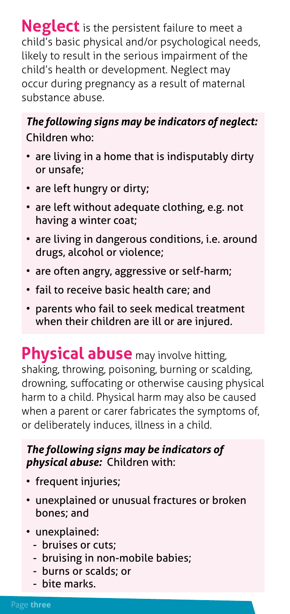**Neglect** is the persistent failure to meet a child's basic physical and/or psychological needs, likely to result in the serious impairment of the child's health or development. Neglect may occur during pregnancy as a result of maternal substance abuse.

*The following signs may be indicators of neglect:* Children who:

- are living in a home that is indisputably dirty or unsafe;
- are left hungry or dirty;
- are left without adequate clothing, e.g. not having a winter coat;
- are living in dangerous conditions, i.e. around drugs, alcohol or violence;
- are often angry, aggressive or self-harm;
- fail to receive basic health care; and
- parents who fail to seek medical treatment when their children are ill or are injured.

**Physical abuse** may involve hitting, shaking, throwing, poisoning, burning or scalding, drowning, suffocating or otherwise causing physical harm to a child. Physical harm may also be caused when a parent or carer fabricates the symptoms of, or deliberately induces, illness in a child.

## *The following signs may be indicators of physical abuse:* Children with:

- frequent injuries;
- unexplained or unusual fractures or broken bones; and
- unexplained:
	- bruises or cuts;
	- bruising in non-mobile babies;
	- burns or scalds; or
	- bite marks.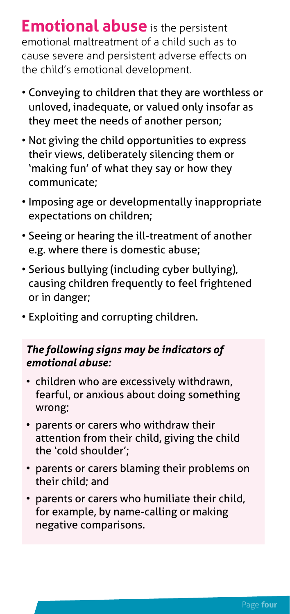**Emotional abuse** is the persistent emotional maltreatment of a child such as to cause severe and persistent adverse effects on the child's emotional development.

- Conveying to children that they are worthless or unloved, inadequate, or valued only insofar as they meet the needs of another person;
- Not giving the child opportunities to express their views, deliberately silencing them or 'making fun' of what they say or how they communicate;
- Imposing age or developmentally inappropriate expectations on children;
- Seeing or hearing the ill-treatment of another e.g. where there is domestic abuse;
- Serious bullying (including cyber bullying), causing children frequently to feel frightened or in danger;
- Exploiting and corrupting children.

#### *The following signs may be indicators of emotional abuse:*

- children who are excessively withdrawn, fearful, or anxious about doing something wrong;
- parents or carers who withdraw their attention from their child, giving the child the 'cold shoulder';
- parents or carers blaming their problems on their child; and
- parents or carers who humiliate their child, for example, by name-calling or making negative comparisons.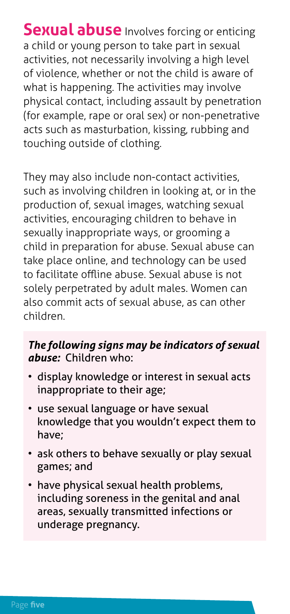**Sexual abuse** Involves forcing or enticing a child or young person to take part in sexual activities, not necessarily involving a high level of violence, whether or not the child is aware of what is happening. The activities may involve physical contact, including assault by penetration (for example, rape or oral sex) or non-penetrative acts such as masturbation, kissing, rubbing and touching outside of clothing.

They may also include non-contact activities, such as involving children in looking at, or in the production of, sexual images, watching sexual activities, encouraging children to behave in sexually inappropriate ways, or grooming a child in preparation for abuse. Sexual abuse can take place online, and technology can be used to facilitate offline abuse. Sexual abuse is not solely perpetrated by adult males. Women can also commit acts of sexual abuse, as can other children.

## *The following signs may be indicators of sexual abuse:* Children who:

- display knowledge or interest in sexual acts inappropriate to their age;
- use sexual language or have sexual knowledge that you wouldn't expect them to have;
- ask others to behave sexually or play sexual games; and
- have physical sexual health problems, including soreness in the genital and anal areas, sexually transmitted infections or underage pregnancy.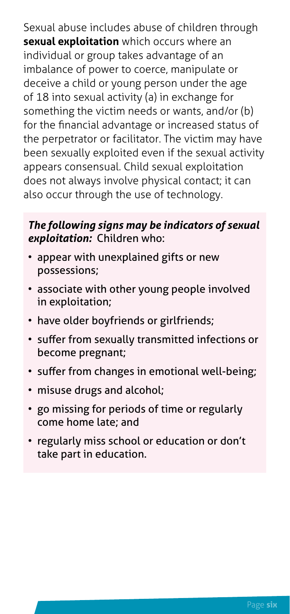Sexual abuse includes abuse of children through **sexual exploitation** which occurs where an individual or group takes advantage of an imbalance of power to coerce, manipulate or deceive a child or young person under the age of 18 into sexual activity (a) in exchange for something the victim needs or wants, and/or (b) for the financial advantage or increased status of the perpetrator or facilitator. The victim may have been sexually exploited even if the sexual activity appears consensual. Child sexual exploitation does not always involve physical contact; it can also occur through the use of technology.

#### *The following signs may be indicators of sexual exploitation:* Children who:

- appear with unexplained gifts or new possessions;
- associate with other young people involved in exploitation;
- have older boyfriends or girlfriends;
- suffer from sexually transmitted infections or become pregnant;
- suffer from changes in emotional well-being;
- misuse drugs and alcohol;
- go missing for periods of time or regularly come home late; and
- regularly miss school or education or don't take part in education.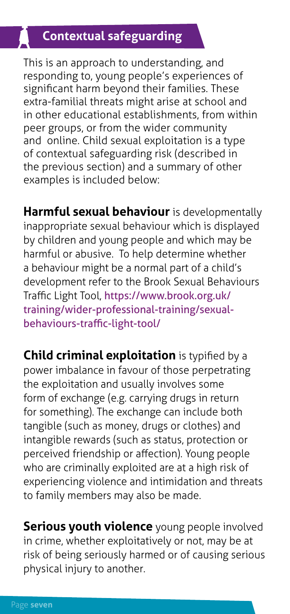This is an approach to understanding, and responding to, young people's experiences of significant harm beyond their families. These extra-familial threats might arise at school and in other educational establishments, from within peer groups, or from the wider community and online. Child sexual exploitation is a type of contextual safeguarding risk (described in the previous section) and a summary of other examples is included below:

**Harmful sexual behaviour** is developmentally inappropriate sexual behaviour which is displayed by children and young people and which may be harmful or abusive. To help determine whether a behaviour might be a normal part of a child's development refer to the Brook Sexual Behaviours Traffic Light Tool, [https://www.brook.org.uk/](https://www.brook.org.uk/training/wider-professional-training/sexual-behaviours-traffic-light-tool/) [training/wider-professional-training/sexual](https://www.brook.org.uk/training/wider-professional-training/sexual-behaviours-traffic-light-tool/)[behaviours-traffic-light-tool/](https://www.brook.org.uk/training/wider-professional-training/sexual-behaviours-traffic-light-tool/)

**Child criminal exploitation** is typified by a power imbalance in favour of those perpetrating the exploitation and usually involves some form of exchange (e.g. carrying drugs in return for something). The exchange can include both tangible (such as money, drugs or clothes) and intangible rewards (such as status, protection or perceived friendship or affection). Young people who are criminally exploited are at a high risk of experiencing violence and intimidation and threats to family members may also be made.

**Serious youth violence** young people involved in crime, whether exploitatively or not, may be at risk of being seriously harmed or of causing serious physical injury to another.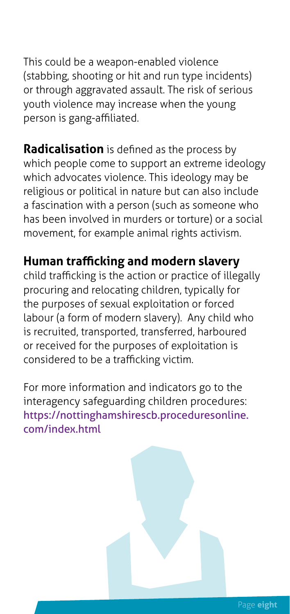This could be a weapon-enabled violence (stabbing, shooting or hit and run type incidents) or through aggravated assault. The risk of serious youth violence may increase when the young person is gang-affiliated.

**Radicalisation** is defined as the process by which people come to support an extreme ideology which advocates violence. This ideology may be religious or political in nature but can also include a fascination with a person (such as someone who has been involved in murders or torture) or a social movement, for example animal rights activism.

## **Human trafficking and modern slavery**

child trafficking is the action or practice of illegally procuring and relocating children, typically for the purposes of sexual exploitation or forced labour (a form of modern slavery). Any child who is recruited, transported, transferred, harboured or received for the purposes of exploitation is considered to be a trafficking victim.

For more information and indicators go to the interagency safeguarding children procedures: [https://nottinghamshirescb.proceduresonline.](https://nottinghamshirescb.proceduresonline.com/index.html) [com/index.html](https://nottinghamshirescb.proceduresonline.com/index.html)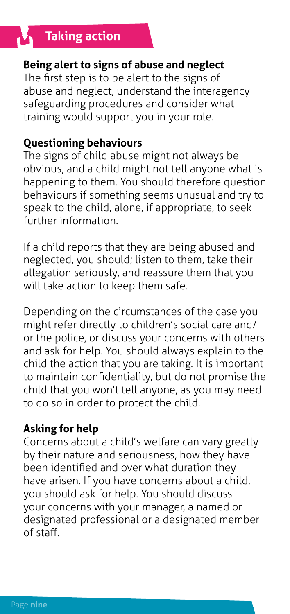## **Taking action**

#### **Being alert to signs of abuse and neglect**

The first step is to be alert to the signs of abuse and neglect, understand the interagency safeguarding procedures and consider what training would support you in your role.

### **Questioning behaviours**

The signs of child abuse might not always be obvious, and a child might not tell anyone what is happening to them. You should therefore question behaviours if something seems unusual and try to speak to the child, alone, if appropriate, to seek further information.

If a child reports that they are being abused and neglected, you should; listen to them, take their allegation seriously, and reassure them that you will take action to keep them safe.

Depending on the circumstances of the case you might refer directly to children's social care and/ or the police, or discuss your concerns with others and ask for help. You should always explain to the child the action that you are taking. It is important to maintain confidentiality, but do not promise the child that you won't tell anyone, as you may need to do so in order to protect the child.

#### **Asking for help**

Concerns about a child's welfare can vary greatly by their nature and seriousness, how they have been identified and over what duration they have arisen. If you have concerns about a child, you should ask for help. You should discuss your concerns with your manager, a named or designated professional or a designated member of staff.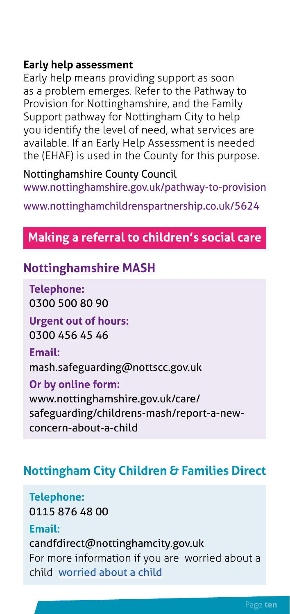#### **Early help assessment**

Early help means providing support as soon as a problem emerges. Refer to the Pathway to Provision for Nottinghamshire, and the Family Support pathway for Nottingham City to help you identify the level of need, what services are available. If an Early Help Assessment is needed the (EHAF) is used in the County for this purpose.

Nottinghamshire County Council www.nottinghamshire.gov.uk/pathway-to-provision

www.nottinghamchildrenspartnership.co.uk/5624

## **Making a referral to children's social care**

## **Nottinghamshire MASH**

**Telephone:** 0300 500 80 90

**Urgent out of hours:** 0300 456 45 46

**Email:** mash.safeguarding@nottscc.gov.uk **Or by online form:** [www.nottinghamshire.gov.uk/care/](http://www.nottinghamshire.gov.uk/care/safeguarding/childrens-mash/report-a-new-concern-about-a-child) [safeguarding/childrens-mash/report-a-new-](http://www.nottinghamshire.gov.uk/care/safeguarding/childrens-mash/report-a-new-concern-about-a-child)

[concern-about-a-child](http://www.nottinghamshire.gov.uk/care/safeguarding/childrens-mash/report-a-new-concern-about-a-child)

## **Nottingham City Children & Families Direct**

**Telephone:** 0115 876 48 00 **Email:** candfdirect@nottinghamcity.gov.uk For more information if you are worried about a child [worried about a child](https://www.nottinghamcity.gov.uk/information-for-residents/children-and-families/nottingham-city-safeguarding-children-board/worried-about-a-child/)